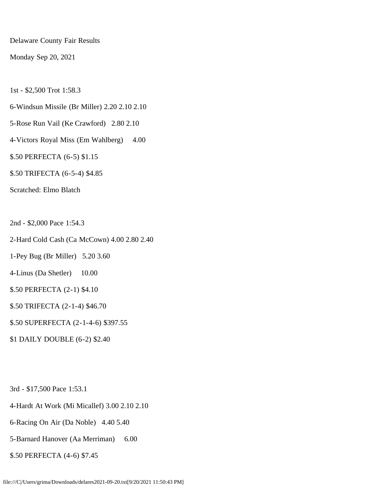Delaware County Fair Results

Monday Sep 20, 2021

1st - \$2,500 Trot 1:58.3

- 6-Windsun Missile (Br Miller) 2.20 2.10 2.10
- 5-Rose Run Vail (Ke Crawford) 2.80 2.10
- 4-Victors Royal Miss (Em Wahlberg) 4.00
- \$.50 PERFECTA (6-5) \$1.15
- \$.50 TRIFECTA (6-5-4) \$4.85

Scratched: Elmo Blatch

2nd - \$2,000 Pace 1:54.3

- 2-Hard Cold Cash (Ca McCown) 4.00 2.80 2.40
- 1-Pey Bug (Br Miller) 5.20 3.60
- 4-Linus (Da Shetler) 10.00
- \$.50 PERFECTA (2-1) \$4.10
- \$.50 TRIFECTA (2-1-4) \$46.70
- \$.50 SUPERFECTA (2-1-4-6) \$397.55
- \$1 DAILY DOUBLE (6-2) \$2.40

3rd - \$17,500 Pace 1:53.1

- 4-Hardt At Work (Mi Micallef) 3.00 2.10 2.10
- 6-Racing On Air (Da Noble) 4.40 5.40
- 5-Barnard Hanover (Aa Merriman) 6.00
- \$.50 PERFECTA (4-6) \$7.45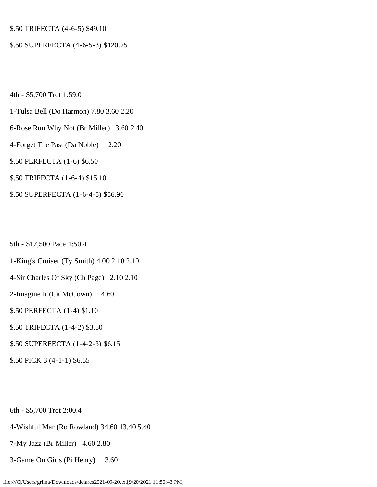# \$.50 TRIFECTA (4-6-5) \$49.10

#### \$.50 SUPERFECTA (4-6-5-3) \$120.75

4th - \$5,700 Trot 1:59.0

- 1-Tulsa Bell (Do Harmon) 7.80 3.60 2.20
- 6-Rose Run Why Not (Br Miller) 3.60 2.40
- 4-Forget The Past (Da Noble) 2.20
- \$.50 PERFECTA (1-6) \$6.50
- \$.50 TRIFECTA (1-6-4) \$15.10
- \$.50 SUPERFECTA (1-6-4-5) \$56.90

5th - \$17,500 Pace 1:50.4

- 1-King's Cruiser (Ty Smith) 4.00 2.10 2.10
- 4-Sir Charles Of Sky (Ch Page) 2.10 2.10
- 2-Imagine It (Ca McCown) 4.60
- \$.50 PERFECTA (1-4) \$1.10
- \$.50 TRIFECTA (1-4-2) \$3.50
- \$.50 SUPERFECTA (1-4-2-3) \$6.15
- \$.50 PICK 3 (4-1-1) \$6.55

6th - \$5,700 Trot 2:00.4

- 4-Wishful Mar (Ro Rowland) 34.60 13.40 5.40
- 7-My Jazz (Br Miller) 4.60 2.80
- 3-Game On Girls (Pi Henry) 3.60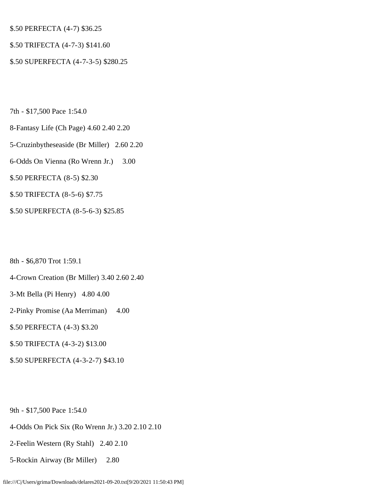\$.50 PERFECTA (4-7) \$36.25

# \$.50 TRIFECTA (4-7-3) \$141.60

\$.50 SUPERFECTA (4-7-3-5) \$280.25

7th - \$17,500 Pace 1:54.0

8-Fantasy Life (Ch Page) 4.60 2.40 2.20

5-Cruzinbytheseaside (Br Miller) 2.60 2.20

- 6-Odds On Vienna (Ro Wrenn Jr.) 3.00
- \$.50 PERFECTA (8-5) \$2.30
- \$.50 TRIFECTA (8-5-6) \$7.75
- \$.50 SUPERFECTA (8-5-6-3) \$25.85

8th - \$6,870 Trot 1:59.1

- 4-Crown Creation (Br Miller) 3.40 2.60 2.40
- 3-Mt Bella (Pi Henry) 4.80 4.00
- 2-Pinky Promise (Aa Merriman) 4.00
- \$.50 PERFECTA (4-3) \$3.20
- \$.50 TRIFECTA (4-3-2) \$13.00
- \$.50 SUPERFECTA (4-3-2-7) \$43.10

9th - \$17,500 Pace 1:54.0

- 4-Odds On Pick Six (Ro Wrenn Jr.) 3.20 2.10 2.10
- 2-Feelin Western (Ry Stahl) 2.40 2.10
- 5-Rockin Airway (Br Miller) 2.80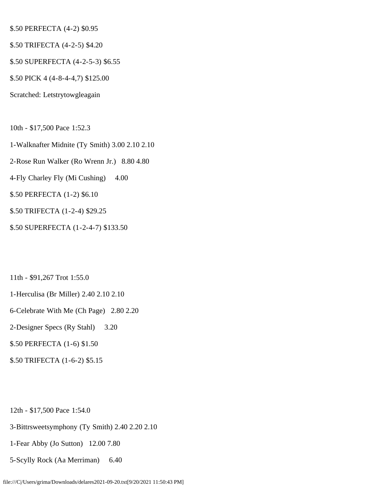# \$.50 PERFECTA (4-2) \$0.95

- \$.50 TRIFECTA (4-2-5) \$4.20
- \$.50 SUPERFECTA (4-2-5-3) \$6.55
- \$.50 PICK 4 (4-8-4-4,7) \$125.00
- Scratched: Letstrytowgleagain
- 10th \$17,500 Pace 1:52.3
- 1-Walknafter Midnite (Ty Smith) 3.00 2.10 2.10
- 2-Rose Run Walker (Ro Wrenn Jr.) 8.80 4.80
- 4-Fly Charley Fly (Mi Cushing) 4.00
- \$.50 PERFECTA (1-2) \$6.10
- \$.50 TRIFECTA (1-2-4) \$29.25
- \$.50 SUPERFECTA (1-2-4-7) \$133.50
- 11th \$91,267 Trot 1:55.0
- 1-Herculisa (Br Miller) 2.40 2.10 2.10
- 6-Celebrate With Me (Ch Page) 2.80 2.20
- 2-Designer Specs (Ry Stahl) 3.20
- \$.50 PERFECTA (1-6) \$1.50
- \$.50 TRIFECTA (1-6-2) \$5.15
- 12th \$17,500 Pace 1:54.0
- 3-Bittrsweetsymphony (Ty Smith) 2.40 2.20 2.10
- 1-Fear Abby (Jo Sutton) 12.00 7.80
- 5-Scylly Rock (Aa Merriman) 6.40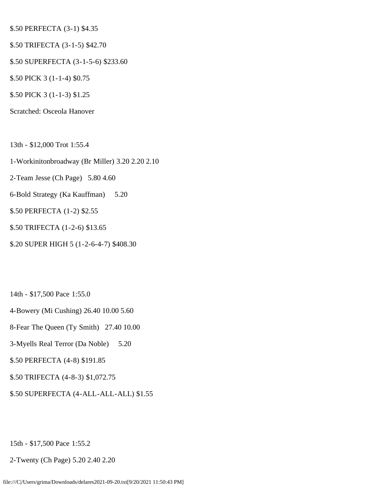# \$.50 PERFECTA (3-1) \$4.35

- \$.50 TRIFECTA (3-1-5) \$42.70
- \$.50 SUPERFECTA (3-1-5-6) \$233.60
- \$.50 PICK 3 (1-1-4) \$0.75
- \$.50 PICK 3 (1-1-3) \$1.25
- Scratched: Osceola Hanover
- 13th \$12,000 Trot 1:55.4
- 1-Workinitonbroadway (Br Miller) 3.20 2.20 2.10
- 2-Team Jesse (Ch Page) 5.80 4.60
- 6-Bold Strategy (Ka Kauffman) 5.20
- \$.50 PERFECTA (1-2) \$2.55
- \$.50 TRIFECTA (1-2-6) \$13.65
- \$.20 SUPER HIGH 5 (1-2-6-4-7) \$408.30
- 14th \$17,500 Pace 1:55.0
- 4-Bowery (Mi Cushing) 26.40 10.00 5.60
- 8-Fear The Queen (Ty Smith) 27.40 10.00
- 3-Myells Real Terror (Da Noble) 5.20
- \$.50 PERFECTA (4-8) \$191.85
- \$.50 TRIFECTA (4-8-3) \$1,072.75
- \$.50 SUPERFECTA (4-ALL-ALL-ALL) \$1.55

15th - \$17,500 Pace 1:55.2

2-Twenty (Ch Page) 5.20 2.40 2.20